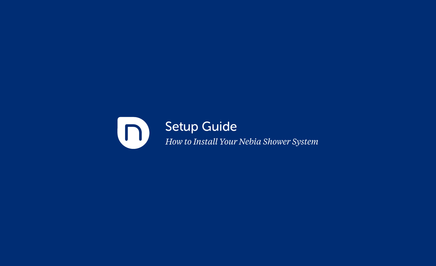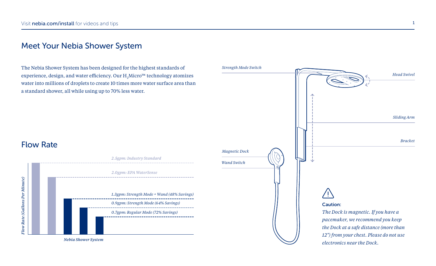#### Meet Your Nebia Shower System

The Nebia Shower System has been designed for the highest standards of experience, design, and water efficiency. Our  $\rm H_2$ Micro™ technology atomizes water into millions of droplets to create 10 times more water surface area than a standard shower, all while using up to 70% less water.



### Flow Rate

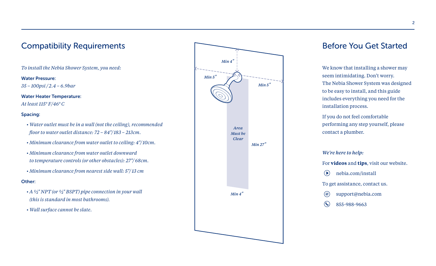# Compatibility Requirements

*To install the Nebia Shower System, you need:*

#### Water Pressure:

*35 – 100psi / 2.4 – 6.9bar*

#### Water Heater Temperature:

*At least 115° F/46° C* 

#### Spacing:

- *Water outlet must be in a wall (not the ceiling), recommended floor to water outlet distance: 72 – 84"/ 183 – 213cm.*
- *Minimum clearance from water outlet to ceiling: 4"/ 10cm.*
- *Minimum clearance from water outlet downward to temperature controls (or other obstacles): 27"/ 68cm.*
- *Minimum clearance from nearest side wall: 5"/ 13 cm*

#### Other:

- *A ½" NPT (or ½" BSPT) pipe connection in your wall (this is standard in most bathrooms).*
- *Wall surface cannot be slate.*



#### Before You Get Started

We know that installing a shower may seem intimidating. Don't worry. The Nebia Shower System was designed to be easy to install, and this guide includes everything you need for the installation process.

If you do not feel comfortable performing any step yourself, please contact a plumber.

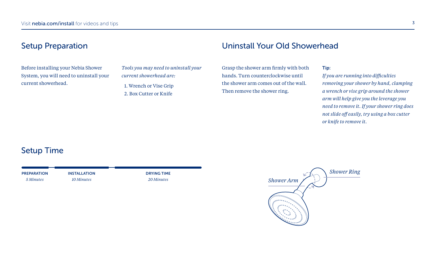### Setup Preparation

Before installing your Nebia Shower System, you will need to uninstall your current showerhead.

*Tools you may need to uninstall your current showerhead are:* 1. Wrench or Vise Grip 2. Box Cutter or Knife

#### Uninstall Your Old Showerhead

Grasp the shower arm firmly with both hands. Turn counterclockwise until the shower arm comes out of the wall. Then remove the shower ring.

Tip:

*If you are running into difficulties removing your shower by hand, clamping a wrench or vise grip around the shower arm will help give you the leverage you need to remove it. If your shower ring does not slide off easily, try using a box cutter or knife to remove it.*

### Setup Time

PREPARATION *5 Minutes*

INSTALLATION

*10 Minutes*

DRYING TIME *20 Minutes*

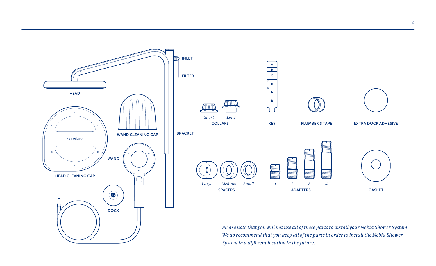

*System in a different location in the future.*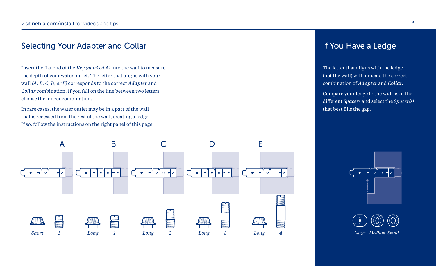### Selecting Your Adapter and Collar

Insert the flat end of the *Key (marked A)* into the wall to measure the depth of your water outlet. The letter that aligns with your wall *(A, B, C, D, or E)* corresponds to the correct *Adapter* and *Collar* combination. If you fall on the line between two letters, choose the longer combination.

In rare cases, the water outlet may be in a part of the wall that is recessed from the rest of the wall, creating a ledge. If so, follow the instructions on the right panel of this page.



### If You Have a Ledge

The letter that aligns with the ledge (not the wall) will indicate the correct combination of *Adapter* and *Collar.*

Compare your ledge to the widths of the different *Spacers* and select the *Spacer(s)* that best fills the gap.



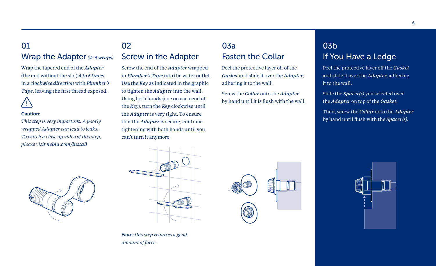### 01 Wrap the Adapter*(4–5 wraps)*

Wrap the tapered end of the *Adapter*  (the end without the slot) *4 to 5 times* in a *clockwise direction* with *Plumber's Tape*, leaving the first thread exposed.

#### Caution:

*This step is very important. A poorly wrapped Adapter can lead to leaks. To watch a close up video of this step, please visit nebia.com/install*

# 02 Screw in the Adapter

Screw the end of the *Adapter* wrapped in *Plumber's Tape* into the water outlet. Use the *Key* as indicated in the graphic to tighten the *Adapter* into the wall. Using both hands (one on each end of the *Key*), turn the *Key* clockwise until the *Adapter* is very tight. To ensure that the *Adapter* is secure, continue tightening with both hands until you can't turn it anymore.

# 03a Fasten the Collar

Peel the protective layer off of the *Gasket* and slide it over the *Adapter*, adhering it to the wall.

Screw the *Collar* onto the *Adapter* by hand until it is flush with the wall.

# 03b If You Have a Ledge

Peel the protective layer off the *Gasket* and slide it over the *Adapter*, adhering it to the wall.

Slide the *Spacer(s)* you selected over the *Adapter* on top of the *Gasket*.

Then, screw the *Collar* onto the *Adapter* by hand until flush with the *Spacer(s)*.









#### *Note: this step requires a good amount of force.*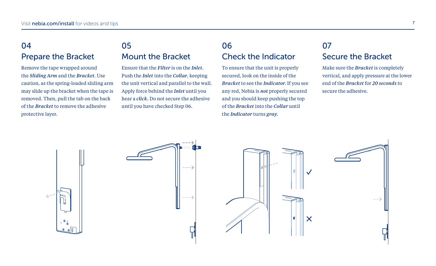# 04 Prepare the Bracket

Remove the tape wrapped around the *Sliding Arm* and the *Bracket*. Use caution, as the spring-loaded sliding arm may slide up the bracket when the tape is removed. Then, pull the tab on the back of the *Bracket* to remove the adhesive protective layer.

# 05 Mount the Bracket

Ensure that the *Filter* is on the *Inlet*. Push the *Inlet* into the *Collar,* keeping the unit vertical and parallel to the wall. Apply force behind the *Inlet* until you hear a *click*. Do not secure the adhesive until you have checked Step 06.

### 06 Check the Indicator

To ensure that the unit is properly secured, look on the inside of the *Bracket* to see the *Indicator*. If you see any red, Nebia is *not* properly secured and you should keep pushing the top of the *Bracket* into the *Collar* until the *Indicator* turns *gray*.

### 07 Secure the Bracket

Make sure the *Bracket* is completely vertical, and apply pressure at the lower end of the *Bracket* for *20 seconds* to secure the adhesive.

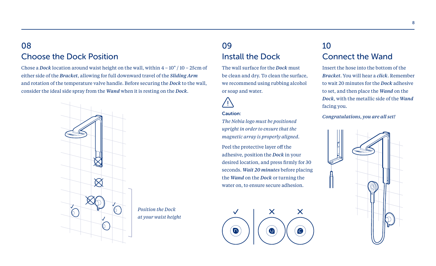### 08 Choose the Dock Position

Chose a *Dock* location around waist height on the wall, within 4 – 10" / 10 – 25cm of either side of the *Bracket*, allowing for full downward travel of the *Sliding Arm*  and rotation of the temperature valve handle. Before securing the *Dock* to the wall, consider the ideal side spray from the *Wand* when it is resting on the *Dock*.



### 09 Install the Dock

The wall surface for the *Dock* must be clean and dry. To clean the surface, we recommend using rubbing alcohol or soap and water.

#### Caution:

*The Nebia logo must be positioned upright in order to ensure that the magnetic array is properly aligned.* 

Peel the protective layer off the adhesive, position the *Dock* in your desired location, and press firmly for 30 seconds. *Wait 20 minutes* before placing the *Wand* on the *Dock* or turning the water on, to ensure secure adhesion.



# 10 Connect the Wand

Insert the hose into the bottom of the *Bracket*. You will hear a *click*. Remember to wait 20 minutes for the *Dock* adhesive to set, and then place the *Wand* on the *Dock*, with the metallic side of the *Wand* facing you.

*Congratulations, you are all set!*

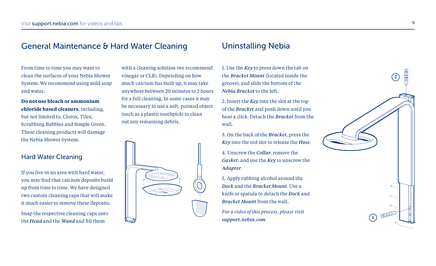#### General Maintenance & Hard Water Cleaning

From time to time you may want to clean the surfaces of your Nebia Shower System. We recommend using mild soap and water.

**Do not use bleach or ammonium chloride based cleaners**, including, but not limited to, Clorox, Tilex, Scrubbing Bubbles and Simple Green. These cleaning products will damage the Nebia Shower System.

#### Hard Water Cleaning

If you live in an area with hard water, you may find that calcium deposits build up from time to time. We have designed two custom cleaning caps that will make it much easier to remove these deposits.

Snap the respective cleaning caps onto the *Head* and the *Wand* and fill them

with a cleaning solution (we recommend vinegar or CLR). Depending on how much calcium has built up, it may take anywhere between 20 minutes to 2 hours for a full cleaning. In some cases it may be necessary to use a soft, pointed object (such as a plastic toothpick) to clean out any remaining debris.



#### Uninstalling Nebia

1. Use the *Key* to press down the tab on the *Bracket Mount* (located inside the groove), and slide the bottom of the *Nebia Bracket* to the left.

2. Insert the *Key* into the slot at the top of the *Bracket* and push down until you hear a click. Detach the *Bracket* from the wall.

3. On the back of the *Bracket*, press the *Key* into the red slot to release the *Hose*.

4. Unscrew the *Collar*, remove the *Gasket*, and use the *Key* to unscrew the *Adapter*.

5. Apply rubbing alcohol around the *Dock* and the *Bracket Mount*. Use a knife or spatula to detach the *Dock* and *Bracket Mount* from the wall.

*For a video of this process, please visit support.nebia.com*

**1**

**2**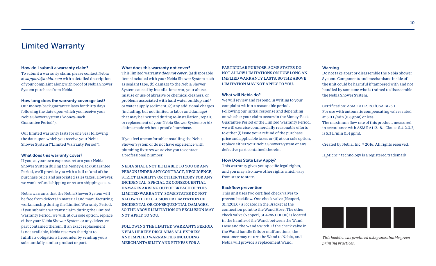#### Limited Warranty

#### How do I submit a warranty claim?

To submit a warranty claim, please contact Nebia at *support@nebia.com* with a detailed description of your complaint along with proof of Nebia Shower System purchase from Nebia.

#### How long does the warranty coverage last?

Our money-back guarantee lasts for thirty days following the date upon which you receive your Nebia Shower System ("Money-Back Guarantee Period").

Our limited warranty lasts for one year following the date upon which you receive your Nebia Shower System ("Limited Warranty Period").

#### What does this warranty cover?

If you, at your own expense, return your Nebia Shower System during the Money-Back Guarantee Period, we'll provide you with a full refund of the purchase price and associated sales taxes. However, we won't refund shipping or return shipping costs.

Nebia warrants that the Nebia Shower System will be free from defects in material and manufacturing workmanship during the Limited Warranty Period. If you submit a warranty claim during the Limited Warranty Period, we will, at our sole option, replace either your Nebia Shower System or any defective part contained therein. If an exact replacement is not available, Nebia reserves the right to fulfill its obligations hereunder by sending you a substantially similar product or part.

#### What does this warranty not cover?

This limited warranty *does not cover:* (a) disposable items included with your Nebia Shower System such as sealant tape; (b) damage to the Nebia Shower System caused by installation error, your abuse, misuse or use of abrasive or chemical cleaners, or problems associated with hard water buildup and/ or water supply sediment; (c) any additional charges (including, but not limited to labor and damage) that may be incurred during re-installation, repair, or replacement of your Nebia Shower System; or (d) claims made without proof of purchase.

If you feel uncomfortable installing the Nebia Shower System or do not have experience with plumbing fixtures we advise you to contact a professional plumber.

NEBIA SHALL NOT BE LIABLE TO YOU OR ANY PERSON UNDER ANY CONTRACT, NEGLIGENCE, STRICT LIABILITY OR OTHER THEORY FOR ANY INCIDENTAL, SPECIAL OR CONSEQUENTIAL DAMAGES ARISING OUT OF BREACH OF THIS LIMITED WARRANTY. SOME STATES DO NOT ALLOW THE EXCLUSION OR LIMITATION OF INCIDENTAL OR CONSEQUENTIAL DAMAGES, SO THE ABOVE LIMITATION OR EXCLUSION MAY NOT APPLY TO YOU.

FOLLOWING THE LIMITED WARRANTY PERIOD, NEBIA HEREBY DISCLAIMS ALL EXPRESS AND IMPLIED WARRANTIES INCLUDING MERCHANTABILITY AND FITNESS FOR A

PARTICULAR PURPOSE. SOME STATES DO NOT ALLOW LIMITATIONS ON HOW LONG AN IMPLIED WARRANTY LASTS, SO THE ABOVE LIMITATION MAY NOT APPLY TO YOU.

#### What will Nebia do?

We will review and respond in writing to your complaint within a reasonable period. Following our initial response and depending on whether your claim occurs in the Money-Back Guarantee Period or the Limited Warranty Period, we will exercise commercially reasonable efforts to either (i) issue you a refund of the purchase price and applicable taxes or (ii) at our sole option, replace either your Nebia Shower System or any defective part contained therein.

#### How Does State Law Apply?

This warranty gives you specific legal rights, and you may also have other rights which vary from state to state.

#### Backflow prevention

This unit uses two certified check valves to prevent backflow. One check valve (Neoperl, 31.4201.0) is located in the Bracket at the connection point to the Wand Hose. The other check valve (Neoperl, 31.4285.00000) is located in the handle of the Wand, between the Wand Hose and the Wand Switch. If the check valve in the Wand handle fails or malfunctions, the customer may return the Wand to Nebia, and Nebia will provide a replacement Wand.

#### Warning

Do not take apart or disassemble the Nebia Shower System. Components and mechanisms inside of the unit could be harmful if tampered with and not handled by someone who is trained to disassemble the Nebia Shower System.

Certification: ASME A112.18.1/CSA B125.1. For use with automatic compensating valves rated at 3.0 L/min (0.8 gpm) or less. The maximum flow rate of this product, measured in accordance with ASME A112.18.1 Clause 5.4.2.3.2, is 5.3 L/min (1.4 gpm).

Created by Nebia, Inc. ® 2016. All rights reserved.

 $\mathrm{H}_2$ Micro™ technology is a registered trademark.



*This booklet was produced using sustainable green printing practices.*